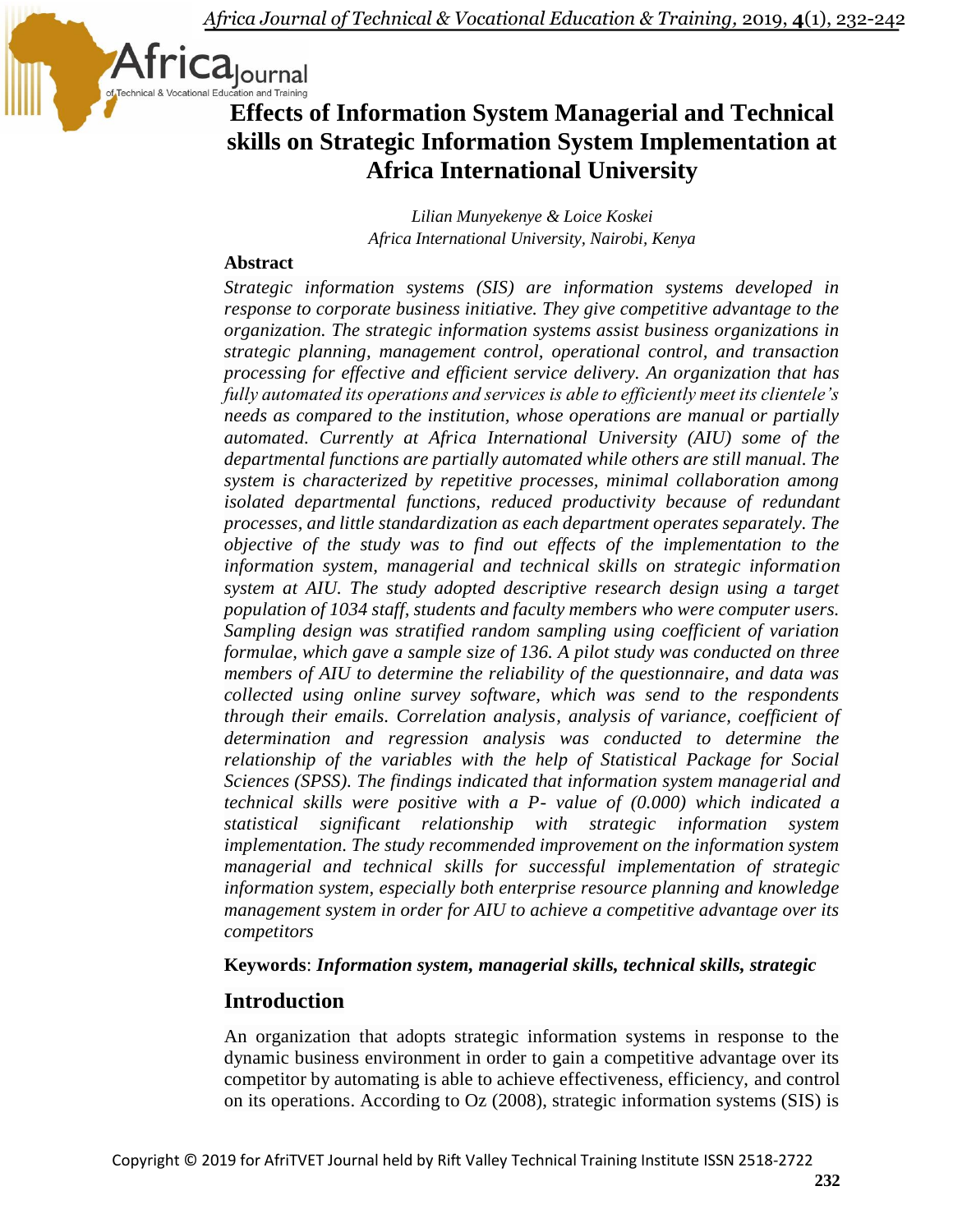

# **Effects of Information System Managerial and Technical skills on Strategic Information System Implementation at Africa International University**

*Lilian Munyekenye & Loice Koskei Africa International University, Nairobi, Kenya*

### **Abstract**

*Strategic information systems (SIS) are information systems developed in response to corporate business initiative. They give competitive advantage to the organization. The strategic information systems assist business organizations in strategic planning, management control, operational control, and transaction processing for effective and efficient service delivery. An organization that has fully automated its operations and services is able to efficiently meet its clientele's needs as compared to the institution, whose operations are manual or partially automated. Currently at Africa International University (AIU) some of the departmental functions are partially automated while others are still manual. The system is characterized by repetitive processes, minimal collaboration among isolated departmental functions, reduced productivity because of redundant processes, and little standardization as each department operates separately. The objective of the study was to find out effects of the implementation to the information system, managerial and technical skills on strategic information system at AIU. The study adopted descriptive research design using a target population of 1034 staff, students and faculty members who were computer users. Sampling design was stratified random sampling using coefficient of variation formulae, which gave a sample size of 136. A pilot study was conducted on three members of AIU to determine the reliability of the questionnaire, and data was collected using online survey software, which was send to the respondents through their emails. Correlation analysis, analysis of variance, coefficient of determination and regression analysis was conducted to determine the relationship of the variables with the help of Statistical Package for Social Sciences (SPSS). The findings indicated that information system managerial and technical skills were positive with a P- value of (0.000) which indicated a statistical significant relationship with strategic information system implementation. The study recommended improvement on the information system managerial and technical skills for successful implementation of strategic information system, especially both enterprise resource planning and knowledge management system in order for AIU to achieve a competitive advantage over its competitors*

### **Keywords**: *Information system, managerial skills, technical skills, strategic*

### **Introduction**

An organization that adopts strategic information systems in response to the dynamic business environment in order to gain a competitive advantage over its competitor by automating is able to achieve effectiveness, efficiency, and control on its operations. According to Oz (2008), strategic information systems (SIS) is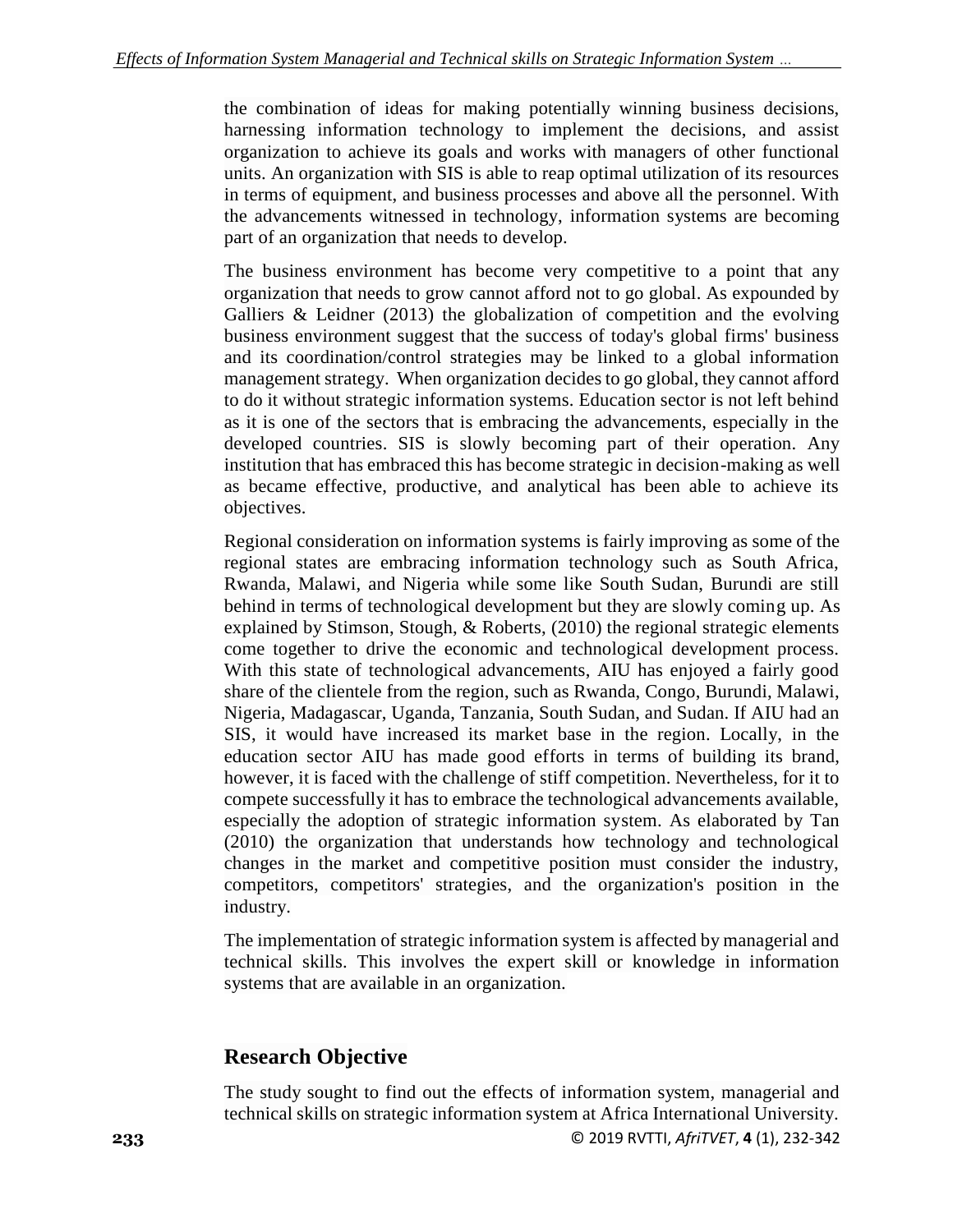the combination of ideas for making potentially winning business decisions, harnessing information technology to implement the decisions, and assist organization to achieve its goals and works with managers of other functional units. An organization with SIS is able to reap optimal utilization of its resources in terms of equipment, and business processes and above all the personnel. With the advancements witnessed in technology, information systems are becoming part of an organization that needs to develop.

The business environment has become very competitive to a point that any organization that needs to grow cannot afford not to go global. As expounded by Galliers  $\&$  Leidner (2013) the globalization of competition and the evolving business environment suggest that the success of today's global firms' business and its coordination/control strategies may be linked to a global information management strategy. When organization decides to go global, they cannot afford to do it without strategic information systems. Education sector is not left behind as it is one of the sectors that is embracing the advancements, especially in the developed countries. SIS is slowly becoming part of their operation. Any institution that has embraced this has become strategic in decision-making as well as became effective, productive, and analytical has been able to achieve its objectives.

Regional consideration on information systems is fairly improving as some of the regional states are embracing information technology such as South Africa, Rwanda, Malawi, and Nigeria while some like South Sudan, Burundi are still behind in terms of technological development but they are slowly coming up. As explained by Stimson, Stough, & Roberts, (2010) the regional strategic elements come together to drive the economic and technological development process. With this state of technological advancements, AIU has enjoyed a fairly good share of the clientele from the region, such as Rwanda, Congo, Burundi, Malawi, Nigeria, Madagascar, Uganda, Tanzania, South Sudan, and Sudan. If AIU had an SIS, it would have increased its market base in the region. Locally, in the education sector AIU has made good efforts in terms of building its brand, however, it is faced with the challenge of stiff competition. Nevertheless, for it to compete successfully it has to embrace the technological advancements available, especially the adoption of strategic information system. As elaborated by Tan (2010) the organization that understands how technology and technological changes in the market and competitive position must consider the industry, competitors, competitors' strategies, and the organization's position in the industry.

The implementation of strategic information system is affected by managerial and technical skills. This involves the expert skill or knowledge in information systems that are available in an organization.

# **Research Objective**

**233** © 2019 RVTTI, *AfriTVET*, **4** (1), 232-342 The study sought to find out the effects of information system, managerial and technical skills on strategic information system at Africa International University.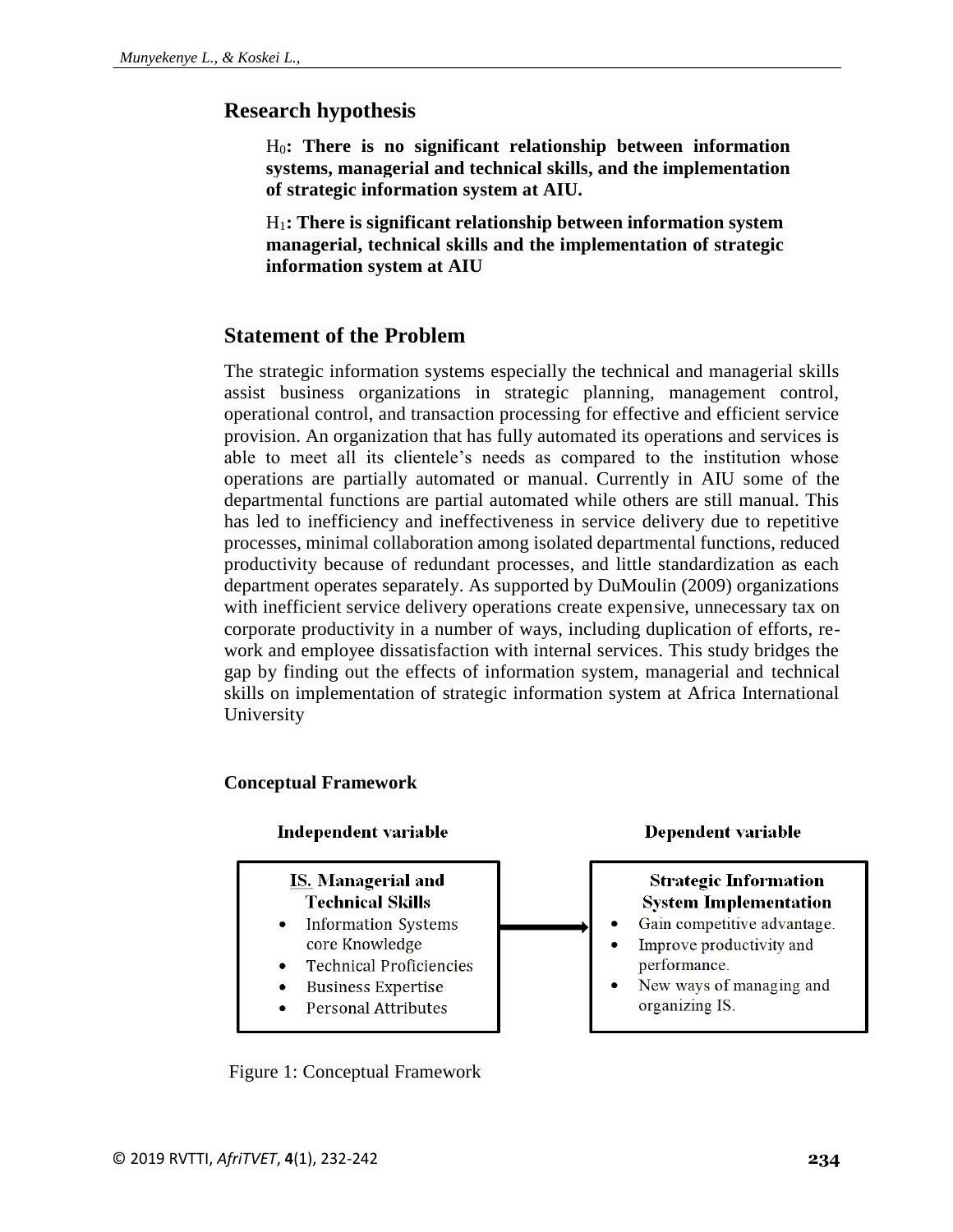### **Research hypothesis**

H0**: There is no significant relationship between information systems, managerial and technical skills, and the implementation of strategic information system at AIU.**

H1**: There is significant relationship between information system managerial, technical skills and the implementation of strategic information system at AIU**

### **Statement of the Problem**

The strategic information systems especially the technical and managerial skills assist business organizations in strategic planning, management control, operational control, and transaction processing for effective and efficient service provision. An organization that has fully automated its operations and services is able to meet all its clientele's needs as compared to the institution whose operations are partially automated or manual. Currently in AIU some of the departmental functions are partial automated while others are still manual. This has led to inefficiency and ineffectiveness in service delivery due to repetitive processes, minimal collaboration among isolated departmental functions, reduced productivity because of redundant processes, and little standardization as each department operates separately. As supported by DuMoulin (2009) organizations with inefficient service delivery operations create expensive, unnecessary tax on corporate productivity in a number of ways, including duplication of efforts, rework and employee dissatisfaction with internal services. This study bridges the gap by finding out the effects of information system, managerial and technical skills on implementation of strategic information system at Africa International University

#### **Conceptual Framework**



Figure 1: Conceptual Framework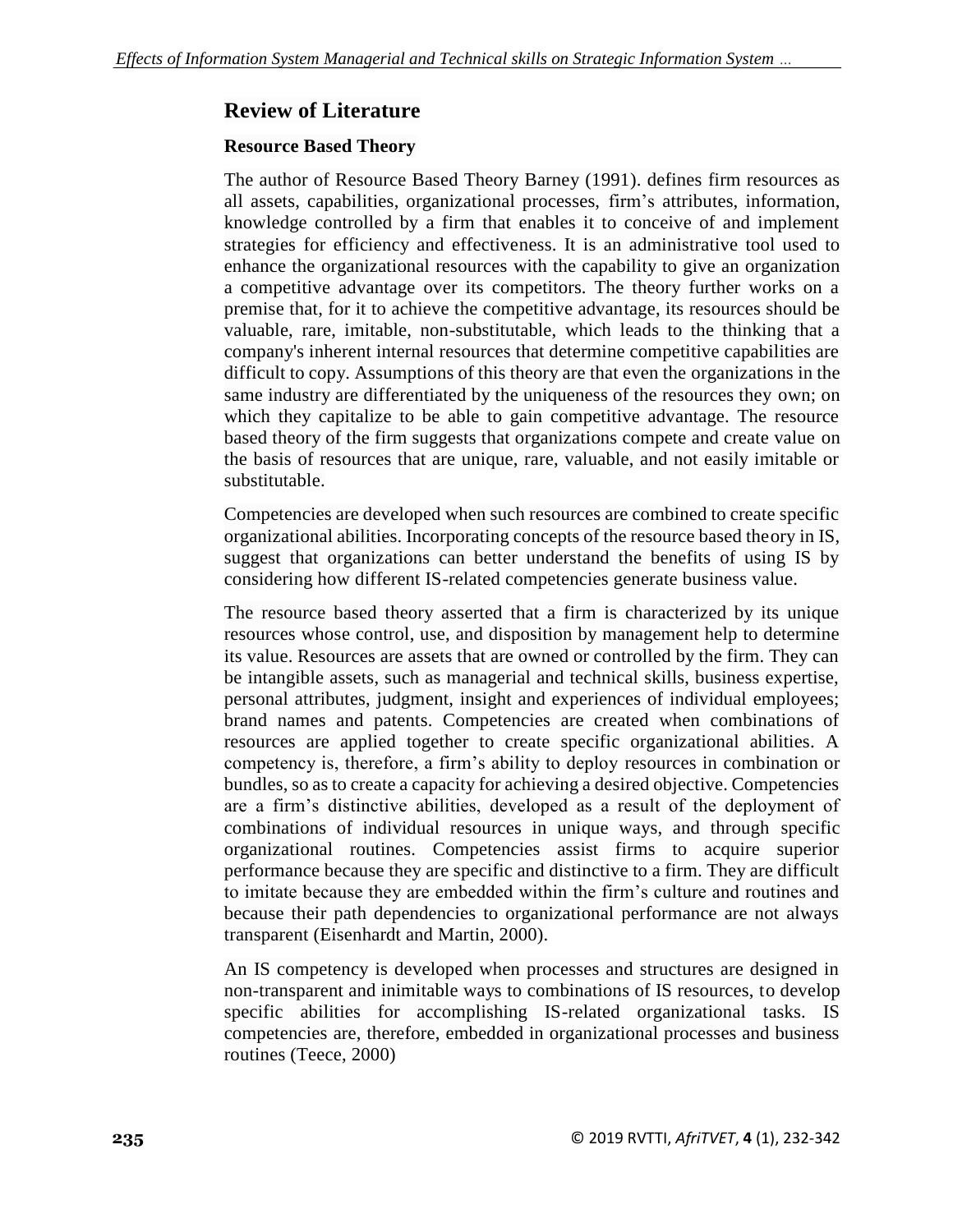# **Review of Literature**

### **Resource Based Theory**

The author of Resource Based Theory Barney (1991). defines firm resources as all assets, capabilities, organizational processes, firm's attributes, information, knowledge controlled by a firm that enables it to conceive of and implement strategies for efficiency and effectiveness. It is an administrative tool used to enhance the organizational resources with the capability to give an organization a competitive advantage over its competitors. The theory further works on a premise that, for it to achieve the competitive advantage, its resources should be valuable, rare, imitable, non-substitutable, which leads to the thinking that a company's inherent internal resources that determine competitive capabilities are difficult to copy. Assumptions of this theory are that even the organizations in the same industry are differentiated by the uniqueness of the resources they own; on which they capitalize to be able to gain competitive advantage. The resource based theory of the firm suggests that organizations compete and create value on the basis of resources that are unique, rare, valuable, and not easily imitable or substitutable.

Competencies are developed when such resources are combined to create specific organizational abilities. Incorporating concepts of the resource based theory in IS, suggest that organizations can better understand the benefits of using IS by considering how different IS-related competencies generate business value.

The resource based theory asserted that a firm is characterized by its unique resources whose control, use, and disposition by management help to determine its value. Resources are assets that are owned or controlled by the firm. They can be intangible assets, such as managerial and technical skills, business expertise, personal attributes, judgment, insight and experiences of individual employees; brand names and patents. Competencies are created when combinations of resources are applied together to create specific organizational abilities. A competency is, therefore, a firm's ability to deploy resources in combination or bundles, so as to create a capacity for achieving a desired objective. Competencies are a firm's distinctive abilities, developed as a result of the deployment of combinations of individual resources in unique ways, and through specific organizational routines. Competencies assist firms to acquire superior performance because they are specific and distinctive to a firm. They are difficult to imitate because they are embedded within the firm's culture and routines and because their path dependencies to organizational performance are not always transparent (Eisenhardt and Martin, 2000).

An IS competency is developed when processes and structures are designed in non-transparent and inimitable ways to combinations of IS resources, to develop specific abilities for accomplishing IS-related organizational tasks. IS competencies are, therefore, embedded in organizational processes and business routines (Teece, 2000)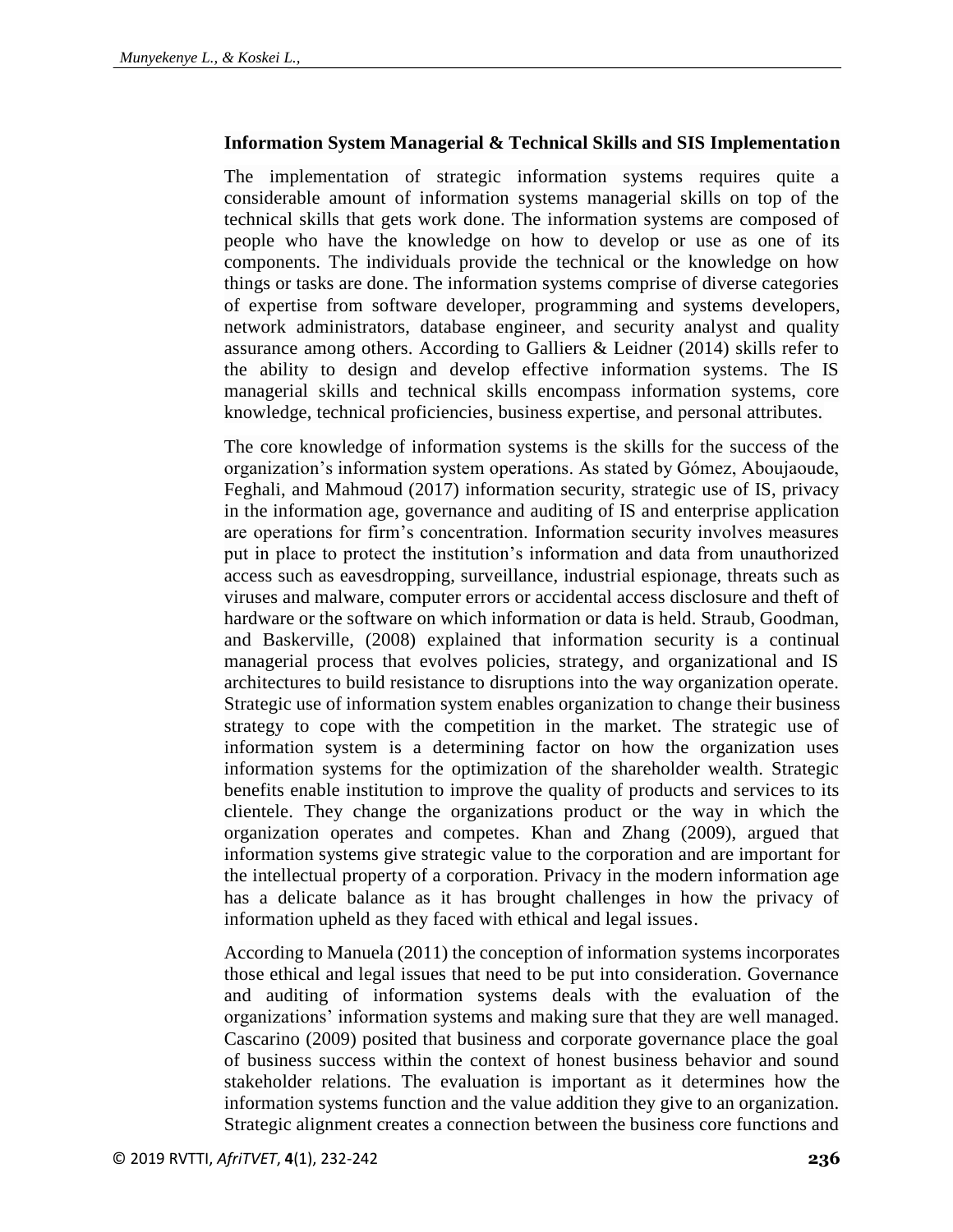#### **Information System Managerial & Technical Skills and SIS Implementation**

The implementation of strategic information systems requires quite a considerable amount of information systems managerial skills on top of the technical skills that gets work done. The information systems are composed of people who have the knowledge on how to develop or use as one of its components. The individuals provide the technical or the knowledge on how things or tasks are done. The information systems comprise of diverse categories of expertise from software developer, programming and systems developers, network administrators, database engineer, and security analyst and quality assurance among others. According to Galliers & Leidner (2014) skills refer to the ability to design and develop effective information systems. The IS managerial skills and technical skills encompass information systems, core knowledge, technical proficiencies, business expertise, and personal attributes.

The core knowledge of information systems is the skills for the success of the organization's information system operations. As stated by Gómez, Aboujaoude, Feghali, and Mahmoud (2017) information security, strategic use of IS, privacy in the information age, governance and auditing of IS and enterprise application are operations for firm's concentration. Information security involves measures put in place to protect the institution's information and data from unauthorized access such as eavesdropping, surveillance, industrial espionage, threats such as viruses and malware, computer errors or accidental access disclosure and theft of hardware or the software on which information or data is held. Straub, Goodman, and Baskerville, (2008) explained that information security is a continual managerial process that evolves policies, strategy, and organizational and IS architectures to build resistance to disruptions into the way organization operate. Strategic use of information system enables organization to change their business strategy to cope with the competition in the market. The strategic use of information system is a determining factor on how the organization uses information systems for the optimization of the shareholder wealth. Strategic benefits enable institution to improve the quality of products and services to its clientele. They change the organizations product or the way in which the organization operates and competes. Khan and Zhang (2009), argued that information systems give strategic value to the corporation and are important for the intellectual property of a corporation. Privacy in the modern information age has a delicate balance as it has brought challenges in how the privacy of information upheld as they faced with ethical and legal issues.

According to Manuela (2011) the conception of information systems incorporates those ethical and legal issues that need to be put into consideration. Governance and auditing of information systems deals with the evaluation of the organizations' information systems and making sure that they are well managed. Cascarino (2009) posited that business and corporate governance place the goal of business success within the context of honest business behavior and sound stakeholder relations. The evaluation is important as it determines how the information systems function and the value addition they give to an organization. Strategic alignment creates a connection between the business core functions and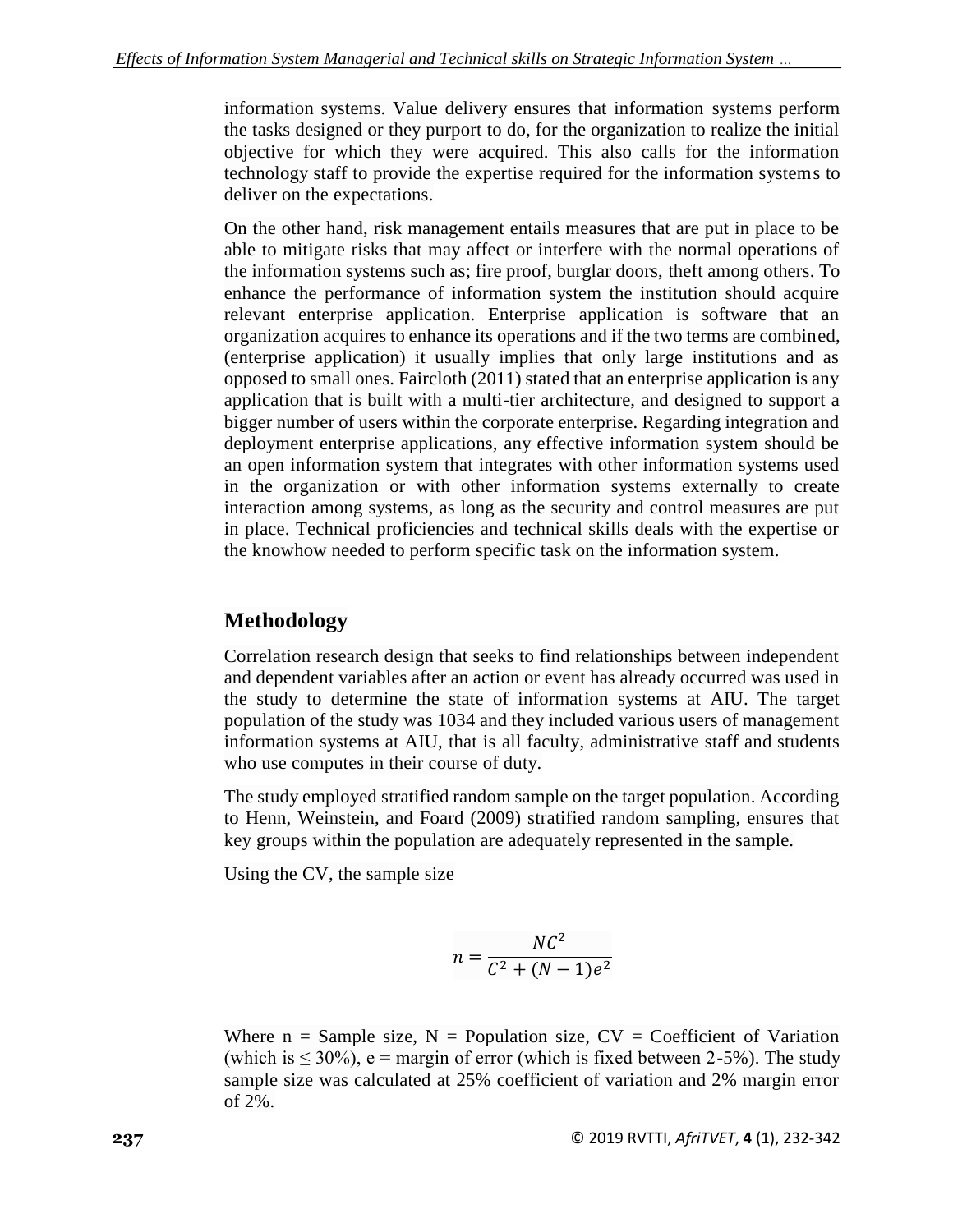information systems. Value delivery ensures that information systems perform the tasks designed or they purport to do, for the organization to realize the initial objective for which they were acquired. This also calls for the information technology staff to provide the expertise required for the information systems to deliver on the expectations.

On the other hand, risk management entails measures that are put in place to be able to mitigate risks that may affect or interfere with the normal operations of the information systems such as; fire proof, burglar doors, theft among others. To enhance the performance of information system the institution should acquire relevant enterprise application. Enterprise application is software that an organization acquires to enhance its operations and if the two terms are combined, (enterprise application) it usually implies that only large institutions and as opposed to small ones. Faircloth (2011) stated that an enterprise application is any application that is built with a multi-tier architecture, and designed to support a bigger number of users within the corporate enterprise. Regarding integration and deployment enterprise applications, any effective information system should be an open information system that integrates with other information systems used in the organization or with other information systems externally to create interaction among systems, as long as the security and control measures are put in place. Technical proficiencies and technical skills deals with the expertise or the knowhow needed to perform specific task on the information system.

# **Methodology**

Correlation research design that seeks to find relationships between independent and dependent variables after an action or event has already occurred was used in the study to determine the state of information systems at AIU. The target population of the study was 1034 and they included various users of management information systems at AIU, that is all faculty, administrative staff and students who use computes in their course of duty.

The study employed stratified random sample on the target population. According to Henn, Weinstein, and Foard (2009) stratified random sampling, ensures that key groups within the population are adequately represented in the sample.

Using the CV, the sample size

$$
n = \frac{NC^2}{C^2 + (N-1)e^2}
$$

Where  $n =$  Sample size,  $N =$  Population size,  $CV =$  Coefficient of Variation (which is  $\leq 30\%$ ), e = margin of error (which is fixed between 2-5%). The study sample size was calculated at 25% coefficient of variation and 2% margin error of 2%.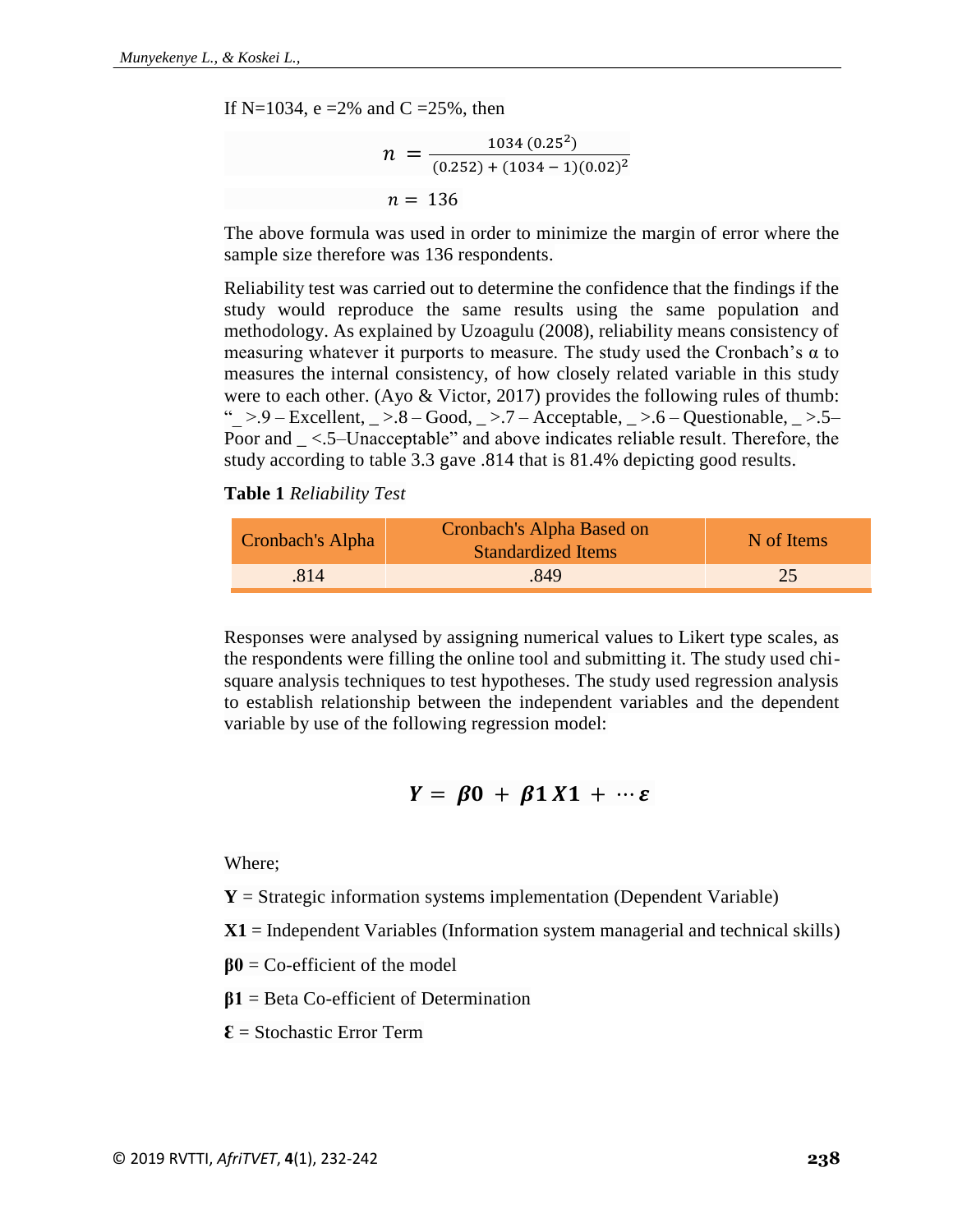If N=1034, e =2% and C =25%, then

$$
n = \frac{1034 (0.25^{2})}{(0.252) + (1034 - 1)(0.02)^{2}}
$$

$$
n = 136
$$

The above formula was used in order to minimize the margin of error where the sample size therefore was 136 respondents.

Reliability test was carried out to determine the confidence that the findings if the study would reproduce the same results using the same population and methodology. As explained by Uzoagulu (2008), reliability means consistency of measuring whatever it purports to measure. The study used the Cronbach's  $\alpha$  to measures the internal consistency, of how closely related variable in this study were to each other. (Ayo & Victor, 2017) provides the following rules of thumb: " $>9$  – Excellent,  $\geq$  8 – Good,  $\geq$  7 – Acceptable,  $\geq$  5 – Questionable,  $\geq$  5 – Poor and  $\leq$  5–Unacceptable" and above indicates reliable result. Therefore, the study according to table 3.3 gave .814 that is 81.4% depicting good results.

**Table 1** *Reliability Test*

| Cronbach's Alpha | Cronbach's Alpha Based on<br><b>Standardized Items</b> | N of Items |  |
|------------------|--------------------------------------------------------|------------|--|
| 814              | 849                                                    |            |  |

Responses were analysed by assigning numerical values to Likert type scales, as the respondents were filling the online tool and submitting it. The study used chisquare analysis techniques to test hypotheses. The study used regression analysis to establish relationship between the independent variables and the dependent variable by use of the following regression model:

$$
Y = \beta 0 + \beta 1 X 1 + \cdots \varepsilon
$$

Where;

 $Y =$  Strategic information systems implementation (Dependent Variable)

**X1** = Independent Variables (Information system managerial and technical skills)

- **β0** = Co-efficient of the model
- **β1** = Beta Co-efficient of Determination

 $\mathbf{\mathcal{E}}$  = Stochastic Error Term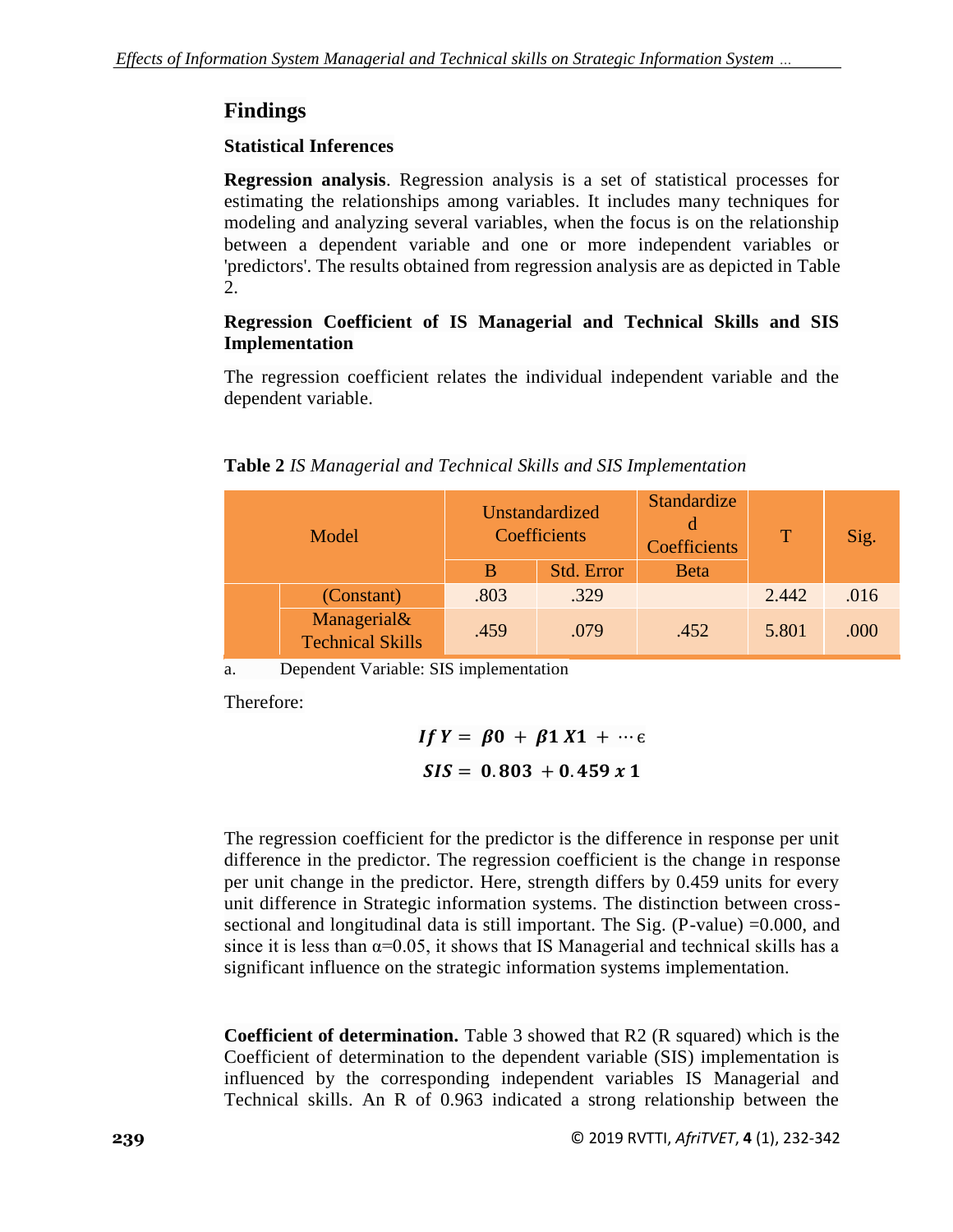## **Findings**

### **Statistical Inferences**

**Regression analysis**. Regression analysis is a set of statistical processes for estimating the relationships among variables. It includes many techniques for modeling and analyzing several variables, when the focus is on the relationship between a dependent variable and one or more independent variables or 'predictors'. The results obtained from regression analysis are as depicted in Table 2.

### **Regression Coefficient of IS Managerial and Technical Skills and SIS Implementation**

The regression coefficient relates the individual independent variable and the dependent variable.

#### **Table 2** *IS Managerial and Technical Skills and SIS Implementation*

| Model |                                        | Unstandardized<br>Coefficients |            | Standardize<br>d<br>Coefficients | $\mathsf{T}$ | Sig. |
|-------|----------------------------------------|--------------------------------|------------|----------------------------------|--------------|------|
|       |                                        | B                              | Std. Error | <b>Beta</b>                      |              |      |
|       | (Constant)                             | .803                           | .329       |                                  | 2.442        | .016 |
|       | Managerial&<br><b>Technical Skills</b> | .459                           | .079       | .452                             | 5.801        | .000 |

a. Dependent Variable: SIS implementation

Therefore:

$$
If Y = \beta 0 + \beta 1 X 1 + \cdots \varepsilon
$$
  

$$
SIS = 0.803 + 0.459 x 1
$$

The regression coefficient for the predictor is the difference in response per unit difference in the predictor. The regression coefficient is the change in response per unit change in the predictor. Here, strength differs by 0.459 units for every unit difference in Strategic information systems. The distinction between crosssectional and longitudinal data is still important. The Sig.  $(P-value) = 0.000$ , and since it is less than  $\alpha=0.05$ , it shows that IS Managerial and technical skills has a significant influence on the strategic information systems implementation.

**Coefficient of determination.** Table 3 showed that R2 (R squared) which is the Coefficient of determination to the dependent variable (SIS) implementation is influenced by the corresponding independent variables IS Managerial and Technical skills. An R of 0.963 indicated a strong relationship between the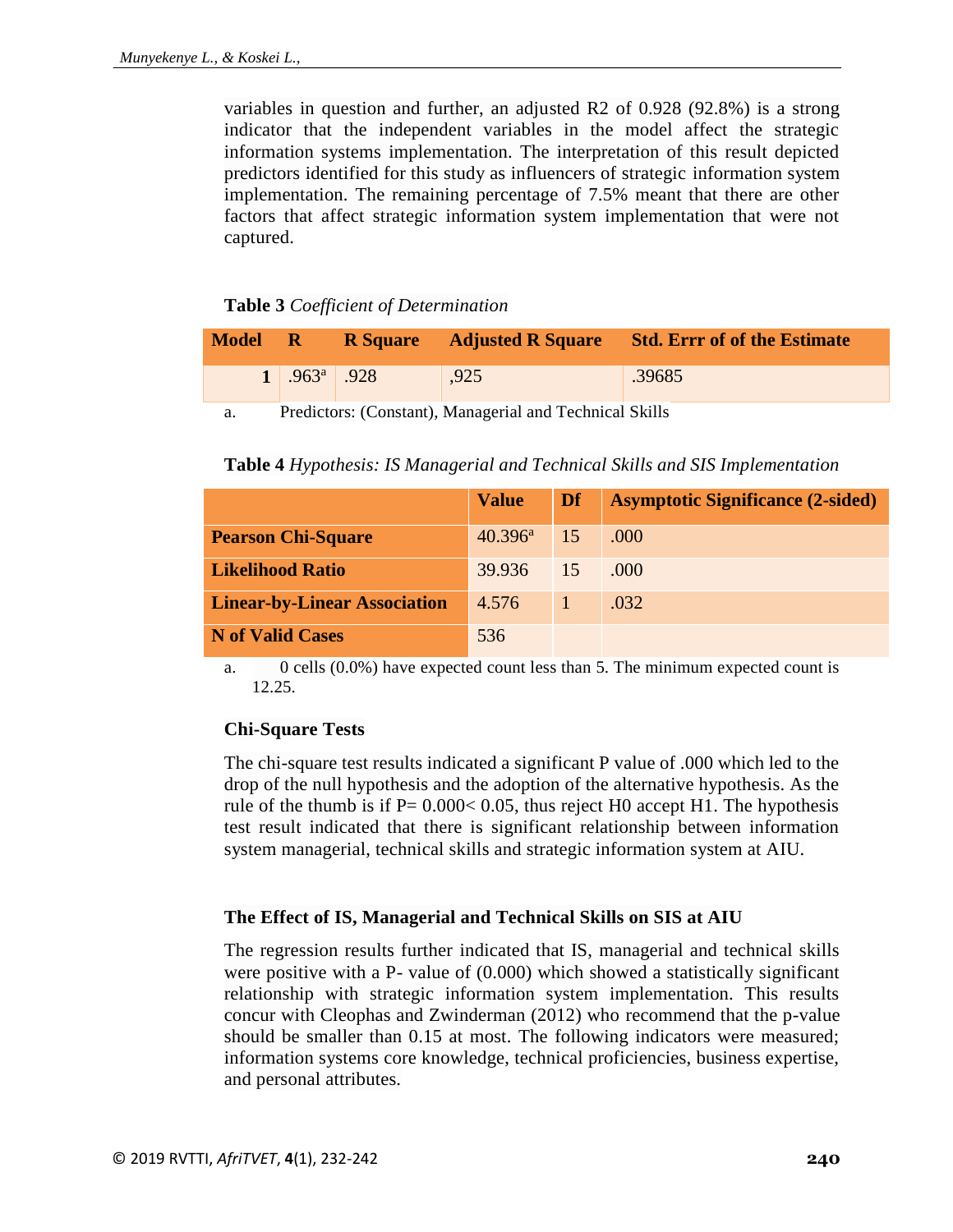variables in question and further, an adjusted R2 of 0.928 (92.8%) is a strong indicator that the independent variables in the model affect the strategic information systems implementation. The interpretation of this result depicted predictors identified for this study as influencers of strategic information system implementation. The remaining percentage of 7.5% meant that there are other factors that affect strategic information system implementation that were not captured.

#### **Table 3** *Coefficient of Determination*

| <b>Model</b> | / R/             |      | <b>R</b> Square Adjusted R Square Std. Err of of the Estimate |
|--------------|------------------|------|---------------------------------------------------------------|
|              | $1^{963^a}$ .928 | ,925 | 39685                                                         |
|              |                  |      |                                                               |

a. Predictors: (Constant), Managerial and Technical Skills

**Table 4** *Hypothesis: IS Managerial and Technical Skills and SIS Implementation*

|                                     | <b>Value</b>     | Df | <b>Asymptotic Significance (2-sided)</b> |
|-------------------------------------|------------------|----|------------------------------------------|
| <b>Pearson Chi-Square</b>           | $40.396^{\rm a}$ | 15 | .000                                     |
| <b>Likelihood Ratio</b>             | 39.936           | 15 | .000                                     |
| <b>Linear-by-Linear Association</b> | 4.576            |    | .032                                     |
| <b>N</b> of Valid Cases             | 536              |    |                                          |

a. 0 cells (0.0%) have expected count less than 5. The minimum expected count is 12.25.

### **Chi-Square Tests**

The chi-square test results indicated a significant P value of .000 which led to the drop of the null hypothesis and the adoption of the alternative hypothesis. As the rule of the thumb is if  $P = 0.000 < 0.05$ , thus reject H0 accept H1. The hypothesis test result indicated that there is significant relationship between information system managerial, technical skills and strategic information system at AIU.

### **The Effect of IS, Managerial and Technical Skills on SIS at AIU**

The regression results further indicated that IS, managerial and technical skills were positive with a P- value of (0.000) which showed a statistically significant relationship with strategic information system implementation. This results concur with Cleophas and Zwinderman (2012) who recommend that the p-value should be smaller than 0.15 at most. The following indicators were measured; information systems core knowledge, technical proficiencies, business expertise, and personal attributes.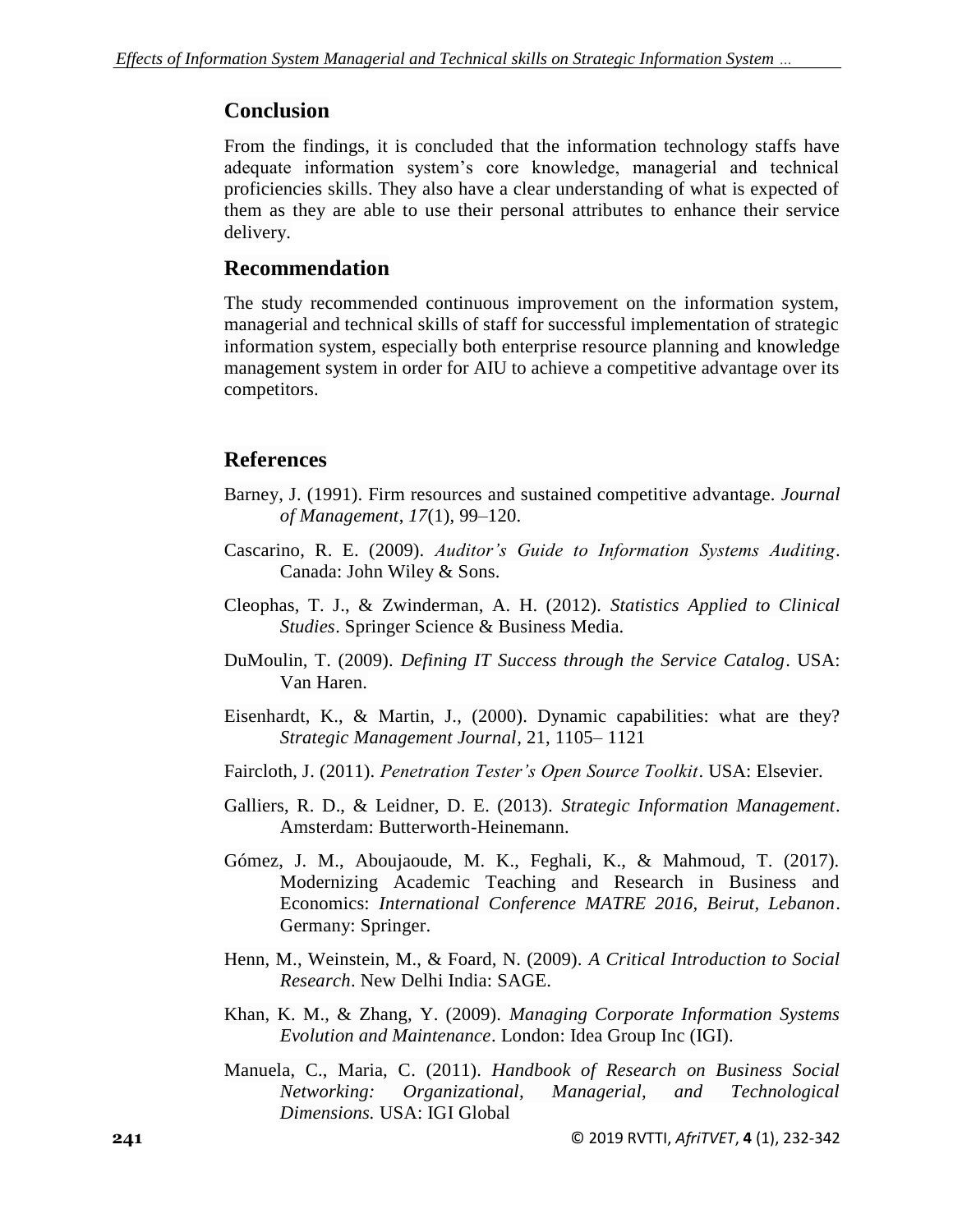### **Conclusion**

From the findings, it is concluded that the information technology staffs have adequate information system's core knowledge, managerial and technical proficiencies skills. They also have a clear understanding of what is expected of them as they are able to use their personal attributes to enhance their service delivery.

### **Recommendation**

The study recommended continuous improvement on the information system, managerial and technical skills of staff for successful implementation of strategic information system, especially both enterprise resource planning and knowledge management system in order for AIU to achieve a competitive advantage over its competitors.

### **References**

- Barney, J. (1991). Firm resources and sustained competitive advantage. *Journal of Management*, *17*(1), 99–120.
- Cascarino, R. E. (2009). *Auditor's Guide to Information Systems Auditing*. Canada: John Wiley & Sons.
- Cleophas, T. J., & Zwinderman, A. H. (2012). *Statistics Applied to Clinical Studies*. Springer Science & Business Media.
- DuMoulin, T. (2009). *Defining IT Success through the Service Catalog*. USA: Van Haren.
- Eisenhardt, K., & Martin, J., (2000). Dynamic capabilities: what are they? *Strategic Management Journal,* 21, 1105– 1121
- Faircloth, J. (2011). *Penetration Tester's Open Source Toolkit*. USA: Elsevier.
- Galliers, R. D., & Leidner, D. E. (2013). *Strategic Information Management*. Amsterdam: Butterworth-Heinemann.
- Gómez, J. M., Aboujaoude, M. K., Feghali, K., & Mahmoud, T. (2017). Modernizing Academic Teaching and Research in Business and Economics: *International Conference MATRE 2016, Beirut, Lebanon*. Germany: Springer.
- Henn, M., Weinstein, M., & Foard, N. (2009). *A Critical Introduction to Social Research*. New Delhi India: SAGE.
- Khan, K. M., & Zhang, Y. (2009). *Managing Corporate Information Systems Evolution and Maintenance*. London: Idea Group Inc (IGI).
- Manuela, C., Maria, C. (2011). *Handbook of Research on Business Social Networking: Organizational, Managerial, and Technological Dimensions.* USA: IGI Global